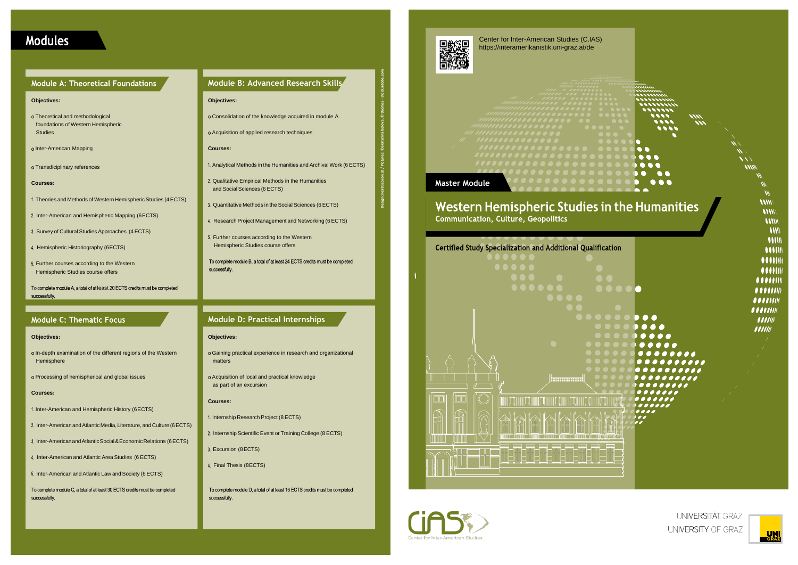## **Modules**

### **Module A: Theoretical Foundations**

### **Module D: Practical Internships**

#### **Objectives:**

Gaining practical experience in research and organizational matters

o Acquisition of local and practical knowledge as part of an excursion

#### **Courses:**

- 1. Internship Research Project (8 ECTS)
- 2. Internship Scientific Event or Training College (8 ECTS)
- Excursion (8ECTS)
- 4. Final Thesis (8ECTS)

To complete module D, a total of at least 16 ECTS credits must be completed successfully.

#### **Objectives:**

- o In-depth examination of the different regions of the Western Hemisphere
- o Processing of hemispherical and global issues

#### **Courses:**

- 1. Inter-American and Hemispheric History (6ECTS)
- 2. Inter-American and Atlantic Media, Literature, and Culture (6 ECTS)
- 3. Inter-American and Atlantic Social & Economic Relations (6 ECTS)
- 4. Inter-American and Atlantic Area Studies (6 ECTS)
- 5. Inter-American and Atlantic Law and Society (6 ECTS)
- To complete module C, a total of at least 30 ECTS credits must be completed successfully.
- 1. Analytical Methods in the Humanities and Archival Work (6 ECTS)
- Qualitative Empirical Methods in the Humanities and Social Sciences (6 ECTS)
- Quantitative Methods in the Social Sciences (6 ECTS)
- 4. Research Project Management and Networking (6 ECTS)
- 5. Further courses according to the Western Hemispheric Studies course offers

To complete module B, a total of at least 24 ECTS credits must be completed successfully.

#### **Module B: Advanced Research Skills**

#### **Objectives:**

- Consolidation of the knowledge acquired in module A
- Acquisition of applied research techniques

#### **Courses:**

#### **Objectives:**

- Theoretical and methodological foundations of Western Hemispheric Studies
- o Inter-American Mapping
- Transdiciplinary references

#### **Courses:**

- 1. Theories and Methods of Western Hemispheric Studies (4 ECTS)
- 2. Inter-American and Hemispheric Mapping (6ECTS)
- 3. Survey of Cultural Studies Approaches (4 ECTS)
- 4. Hemispheric Historiography (6ECTS)
- Further courses according to the Western Hemispheric Studies course offers
- To complete module A, a total of at least 20 ECTS credits must be completed successfully.

### **Module C: Thematic Focus**

Center for Inter-American Studies (C.IAS) https://interamerikanistik.uni-graz.at/de







UNIVERSITÄT GRAZ UNIVERSITY OF GRAZ